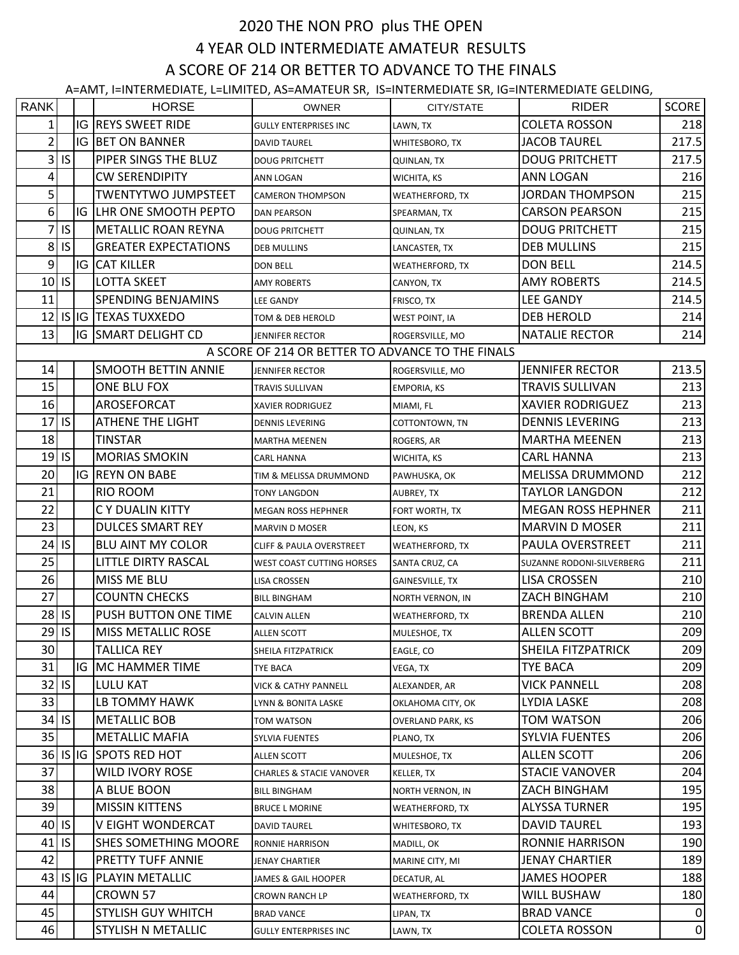## 2020 THE NON PRO plus THE OPEN 4 YEAR OLD INTERMEDIATE AMATEUR RESULTS A SCORE OF 214 OR BETTER TO ADVANCE TO THE FINALS

A=AMT, I=INTERMEDIATE, L=LIMITED, AS=AMATEUR SR, IS=INTERMEDIATE SR, IG=INTERMEDIATE GELDING,

| <b>RANK</b>                                       |           |  | <b>HORSE</b>                | <b>OWNER</b>                        | CITY/STATE               | <b>RIDER</b>              | <b>SCORE</b> |  |  |  |  |  |
|---------------------------------------------------|-----------|--|-----------------------------|-------------------------------------|--------------------------|---------------------------|--------------|--|--|--|--|--|
| 1                                                 |           |  | <b>IG REYS SWEET RIDE</b>   | <b>GULLY ENTERPRISES INC</b>        | LAWN, TX                 | <b>COLETA ROSSON</b>      | 218          |  |  |  |  |  |
| $\overline{2}$                                    |           |  | IG BET ON BANNER            | <b>DAVID TAUREL</b>                 | WHITESBORO, TX           | <b>JACOB TAUREL</b>       | 217.5        |  |  |  |  |  |
| 3                                                 | S         |  | PIPER SINGS THE BLUZ        | <b>DOUG PRITCHETT</b>               | <b>QUINLAN, TX</b>       | <b>DOUG PRITCHETT</b>     | 217.5        |  |  |  |  |  |
| 4                                                 |           |  | <b>CW SERENDIPITY</b>       | ANN LOGAN                           | WICHITA, KS              | ANN LOGAN                 | 216          |  |  |  |  |  |
| 5 <sup>1</sup>                                    |           |  | TWENTYTWO JUMPSTEET         | <b>CAMERON THOMPSON</b>             | <b>WEATHERFORD, TX</b>   | <b>JORDAN THOMPSON</b>    | 215          |  |  |  |  |  |
| 6 <sup>1</sup>                                    |           |  | IG LHR ONE SMOOTH PEPTO     | <b>DAN PEARSON</b>                  | SPEARMAN, TX             | <b>CARSON PEARSON</b>     | 215          |  |  |  |  |  |
| 7                                                 | <b>IS</b> |  | METALLIC ROAN REYNA         | <b>DOUG PRITCHETT</b>               | QUINLAN, TX              | <b>DOUG PRITCHETT</b>     | 215          |  |  |  |  |  |
| 8 <sup>1</sup>                                    | IS.       |  | <b>GREATER EXPECTATIONS</b> | <b>DEB MULLINS</b>                  | LANCASTER, TX            | <b>DEB MULLINS</b>        | 215          |  |  |  |  |  |
| 9                                                 |           |  | <b>IG CAT KILLER</b>        | <b>DON BELL</b>                     | WEATHERFORD, TX          | <b>DON BELL</b>           | 214.5        |  |  |  |  |  |
| 10                                                | <b>IS</b> |  | <b>LOTTA SKEET</b>          | <b>AMY ROBERTS</b>                  | CANYON, TX               | <b>AMY ROBERTS</b>        | 214.5        |  |  |  |  |  |
| 11                                                |           |  | <b>SPENDING BENJAMINS</b>   | <b>LEE GANDY</b>                    | FRISCO, TX               | <b>LEE GANDY</b>          | 214.5        |  |  |  |  |  |
| 12                                                |           |  | <b>IS IG TEXAS TUXXEDO</b>  | TOM & DEB HEROLD                    | <b>WEST POINT, IA</b>    | <b>DEB HEROLD</b>         | 214          |  |  |  |  |  |
| 13                                                |           |  | <b>IG SMART DELIGHT CD</b>  | <b>JENNIFER RECTOR</b>              | ROGERSVILLE, MO          | <b>NATALIE RECTOR</b>     | 214          |  |  |  |  |  |
| A SCORE OF 214 OR BETTER TO ADVANCE TO THE FINALS |           |  |                             |                                     |                          |                           |              |  |  |  |  |  |
| 14                                                |           |  | <b>SMOOTH BETTIN ANNIE</b>  | <b>JENNIFER RECTOR</b>              | ROGERSVILLE, MO          | <b>JENNIFER RECTOR</b>    | 213.5        |  |  |  |  |  |
| 15                                                |           |  | ONE BLU FOX                 | TRAVIS SULLIVAN                     | <b>EMPORIA, KS</b>       | <b>TRAVIS SULLIVAN</b>    | 213          |  |  |  |  |  |
| 16                                                |           |  | AROSEFORCAT                 | <b>XAVIER RODRIGUEZ</b>             | MIAMI, FL                | <b>XAVIER RODRIGUEZ</b>   | 213          |  |  |  |  |  |
| 17                                                | <b>IS</b> |  | <b>ATHENE THE LIGHT</b>     | <b>DENNIS LEVERING</b>              | COTTONTOWN, TN           | <b>DENNIS LEVERING</b>    | 213          |  |  |  |  |  |
| 18                                                |           |  | <b>TINSTAR</b>              | <b>MARTHA MEENEN</b>                | ROGERS, AR               | <b>MARTHA MEENEN</b>      | 213          |  |  |  |  |  |
| 19                                                | <b>IS</b> |  | <b>MORIAS SMOKIN</b>        | <b>CARL HANNA</b>                   | WICHITA, KS              | <b>CARL HANNA</b>         | 213          |  |  |  |  |  |
| 20                                                |           |  | <b>IG REYN ON BABE</b>      | TIM & MELISSA DRUMMOND              | PAWHUSKA, OK             | <b>MELISSA DRUMMOND</b>   | 212          |  |  |  |  |  |
| 21                                                |           |  | RIO ROOM                    | <b>TONY LANGDON</b>                 | AUBREY, TX               | <b>TAYLOR LANGDON</b>     | 212          |  |  |  |  |  |
| 22                                                |           |  | C Y DUALIN KITTY            | <b>MEGAN ROSS HEPHNER</b>           | FORT WORTH, TX           | <b>MEGAN ROSS HEPHNER</b> | 211          |  |  |  |  |  |
| 23                                                |           |  | <b>DULCES SMART REY</b>     | <b>MARVIN D MOSER</b>               | LEON, KS                 | <b>MARVIN D MOSER</b>     | 211          |  |  |  |  |  |
| 24                                                | <b>IS</b> |  | <b>BLU AINT MY COLOR</b>    | <b>CLIFF &amp; PAULA OVERSTREET</b> | <b>WEATHERFORD, TX</b>   | PAULA OVERSTREET          | 211          |  |  |  |  |  |
| 25                                                |           |  | LITTLE DIRTY RASCAL         | <b>WEST COAST CUTTING HORSES</b>    | SANTA CRUZ, CA           | SUZANNE RODONI-SILVERBERG | 211          |  |  |  |  |  |
| 26                                                |           |  | MISS ME BLU                 | LISA CROSSEN                        | <b>GAINESVILLE, TX</b>   | <b>LISA CROSSEN</b>       | 210          |  |  |  |  |  |
| 27                                                |           |  | <b>COUNTN CHECKS</b>        | <b>BILL BINGHAM</b>                 | NORTH VERNON, IN         | ZACH BINGHAM              | 210          |  |  |  |  |  |
| 28                                                | <b>IS</b> |  | PUSH BUTTON ONE TIME        | <b>CALVIN ALLEN</b>                 | <b>WEATHERFORD, TX</b>   | <b>BRENDA ALLEN</b>       | 210          |  |  |  |  |  |
|                                                   | $29$ IS   |  | <b>MISS METALLIC ROSE</b>   | <b>ALLEN SCOTT</b>                  | MULESHOE, TX             | <b>ALLEN SCOTT</b>        | 209          |  |  |  |  |  |
| 30 <sup>°</sup>                                   |           |  | <b>TALLICA REY</b>          | SHEILA FITZPATRICK                  | EAGLE, CO                | SHEILA FITZPATRICK        | 209          |  |  |  |  |  |
| 31                                                |           |  | <b>IG MC HAMMER TIME</b>    | TYE BACA                            | VEGA, TX                 | <b>TYE BACA</b>           | 209          |  |  |  |  |  |
| 32                                                | <b>IS</b> |  | LULU KAT                    | VICK & CATHY PANNELL                | ALEXANDER, AR            | <b>VICK PANNELL</b>       | 208          |  |  |  |  |  |
| 33                                                |           |  | LB TOMMY HAWK               | LYNN & BONITA LASKE                 | OKLAHOMA CITY, OK        | <b>LYDIA LASKE</b>        | 208          |  |  |  |  |  |
| 34                                                | <b>IS</b> |  | <b>METALLIC BOB</b>         | TOM WATSON                          | <b>OVERLAND PARK, KS</b> | <b>TOM WATSON</b>         | 206          |  |  |  |  |  |
| 35                                                |           |  | <b>METALLIC MAFIA</b>       | <b>SYLVIA FUENTES</b>               | PLANO, TX                | <b>SYLVIA FUENTES</b>     | 206          |  |  |  |  |  |
| 36                                                |           |  | IS IG SPOTS RED HOT         | <b>ALLEN SCOTT</b>                  | MULESHOE, TX             | <b>ALLEN SCOTT</b>        | 206          |  |  |  |  |  |
| 37                                                |           |  | <b>WILD IVORY ROSE</b>      | <b>CHARLES &amp; STACIE VANOVER</b> | <b>KELLER, TX</b>        | <b>STACIE VANOVER</b>     | 204          |  |  |  |  |  |
| 38                                                |           |  | A BLUE BOON                 | <b>BILL BINGHAM</b>                 | NORTH VERNON, IN         | ZACH BINGHAM              | 195          |  |  |  |  |  |
| 39                                                |           |  | <b>MISSIN KITTENS</b>       | <b>BRUCE L MORINE</b>               | WEATHERFORD, TX          | <b>ALYSSA TURNER</b>      | 195          |  |  |  |  |  |
| 40                                                | <b>IS</b> |  | V EIGHT WONDERCAT           | <b>DAVID TAUREL</b>                 | WHITESBORO, TX           | <b>DAVID TAUREL</b>       | 193          |  |  |  |  |  |
| 41                                                | <b>IS</b> |  | SHES SOMETHING MOORE        | RONNIE HARRISON                     | MADILL, OK               | RONNIE HARRISON           | 190          |  |  |  |  |  |
| 42                                                |           |  | PRETTY TUFF ANNIE           | <b>JENAY CHARTIER</b>               | MARINE CITY, MI          | <b>JENAY CHARTIER</b>     | 189          |  |  |  |  |  |
| 43                                                |           |  | IS IG PLAYIN METALLIC       | JAMES & GAIL HOOPER                 | DECATUR, AL              | <b>JAMES HOOPER</b>       | 188          |  |  |  |  |  |
| 44                                                |           |  | CROWN 57                    | CROWN RANCH LP                      | <b>WEATHERFORD, TX</b>   | WILL BUSHAW               | 180          |  |  |  |  |  |
| 45                                                |           |  | <b>STYLISH GUY WHITCH</b>   | <b>BRAD VANCE</b>                   | LIPAN, TX                | <b>BRAD VANCE</b>         | 0            |  |  |  |  |  |
| 46                                                |           |  | STYLISH N METALLIC          | <b>GULLY ENTERPRISES INC</b>        | LAWN, TX                 | <b>COLETA ROSSON</b>      | 0            |  |  |  |  |  |
|                                                   |           |  |                             |                                     |                          |                           |              |  |  |  |  |  |